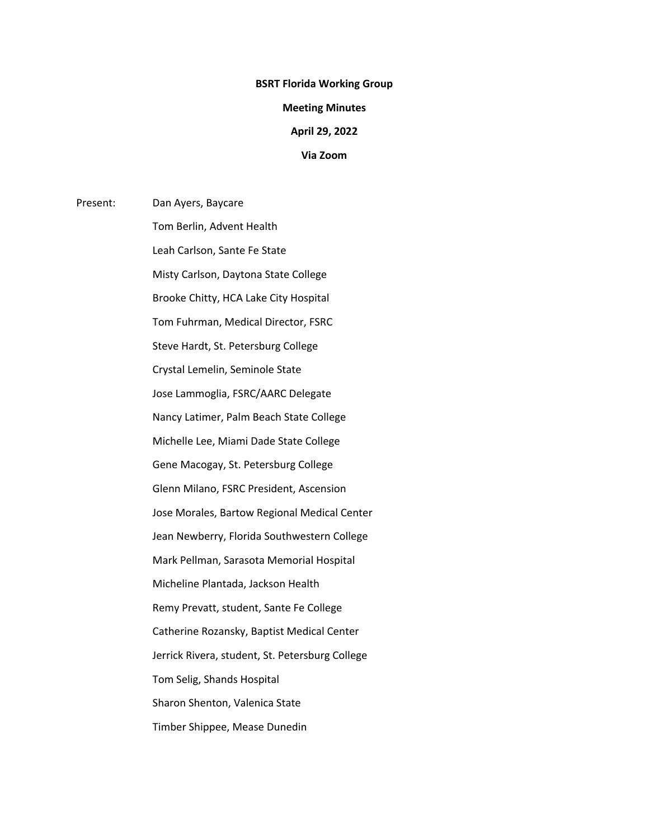## **BSRT Florida Working Group**

### **Meeting Minutes**

#### **April 29, 2022**

## **Via Zoom**

Present: Dan Ayers, Baycare Tom Berlin, Advent Health Leah Carlson, Sante Fe State Misty Carlson, Daytona State College Brooke Chitty, HCA Lake City Hospital Tom Fuhrman, Medical Director, FSRC Steve Hardt, St. Petersburg College Crystal Lemelin, Seminole State Jose Lammoglia, FSRC/AARC Delegate Nancy Latimer, Palm Beach State College Michelle Lee, Miami Dade State College Gene Macogay, St. Petersburg College Glenn Milano, FSRC President, Ascension Jose Morales, Bartow Regional Medical Center Jean Newberry, Florida Southwestern College Mark Pellman, Sarasota Memorial Hospital Micheline Plantada, Jackson Health Remy Prevatt, student, Sante Fe College Catherine Rozansky, Baptist Medical Center Jerrick Rivera, student, St. Petersburg College Tom Selig, Shands Hospital Sharon Shenton, Valenica State Timber Shippee, Mease Dunedin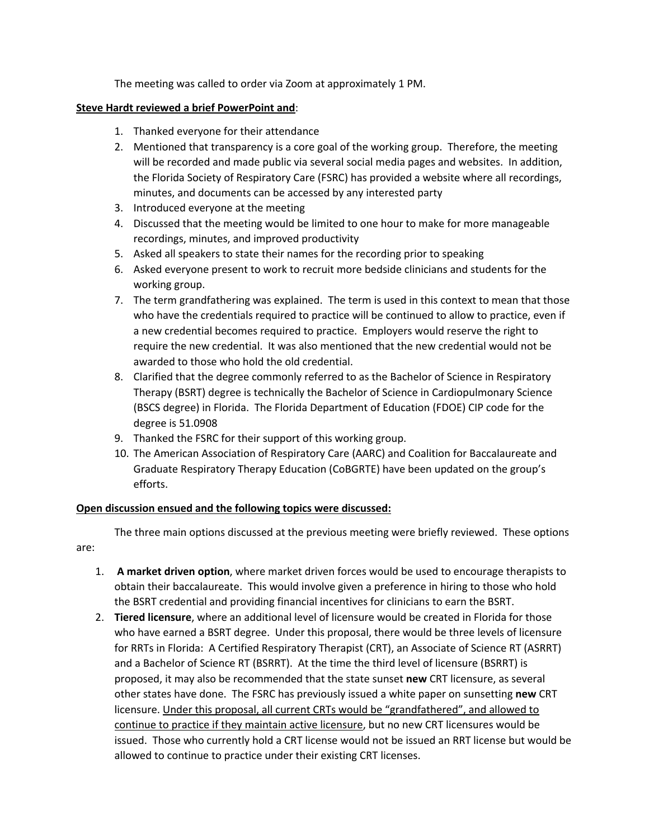The meeting was called to order via Zoom at approximately 1 PM.

# **Steve Hardt reviewed a brief PowerPoint and**:

- 1. Thanked everyone for their attendance
- 2. Mentioned that transparency is a core goal of the working group. Therefore, the meeting will be recorded and made public via several social media pages and websites. In addition, the Florida Society of Respiratory Care (FSRC) has provided a website where all recordings, minutes, and documents can be accessed by any interested party
- 3. Introduced everyone at the meeting
- 4. Discussed that the meeting would be limited to one hour to make for more manageable recordings, minutes, and improved productivity
- 5. Asked all speakers to state their names for the recording prior to speaking
- 6. Asked everyone present to work to recruit more bedside clinicians and students for the working group.
- 7. The term grandfathering was explained. The term is used in this context to mean that those who have the credentials required to practice will be continued to allow to practice, even if a new credential becomes required to practice. Employers would reserve the right to require the new credential. It was also mentioned that the new credential would not be awarded to those who hold the old credential.
- 8. Clarified that the degree commonly referred to as the Bachelor of Science in Respiratory Therapy (BSRT) degree is technically the Bachelor of Science in Cardiopulmonary Science (BSCS degree) in Florida. The Florida Department of Education (FDOE) CIP code for the degree is 51.0908
- 9. Thanked the FSRC for their support of this working group.
- 10. The American Association of Respiratory Care (AARC) and Coalition for Baccalaureate and Graduate Respiratory Therapy Education (CoBGRTE) have been updated on the group's efforts.

# **Open discussion ensued and the following topics were discussed:**

The three main options discussed at the previous meeting were briefly reviewed. These options are:

- 1. **A market driven option**, where market driven forces would be used to encourage therapists to obtain their baccalaureate. This would involve given a preference in hiring to those who hold the BSRT credential and providing financial incentives for clinicians to earn the BSRT.
- 2. **Tiered licensure**, where an additional level of licensure would be created in Florida for those who have earned a BSRT degree. Under this proposal, there would be three levels of licensure for RRTs in Florida: A Certified Respiratory Therapist (CRT), an Associate of Science RT (ASRRT) and a Bachelor of Science RT (BSRRT). At the time the third level of licensure (BSRRT) is proposed, it may also be recommended that the state sunset **new** CRT licensure, as several other states have done. The FSRC has previously issued a white paper on sunsetting **new** CRT licensure. Under this proposal, all current CRTs would be "grandfathered", and allowed to continue to practice if they maintain active licensure, but no new CRT licensures would be issued. Those who currently hold a CRT license would not be issued an RRT license but would be allowed to continue to practice under their existing CRT licenses.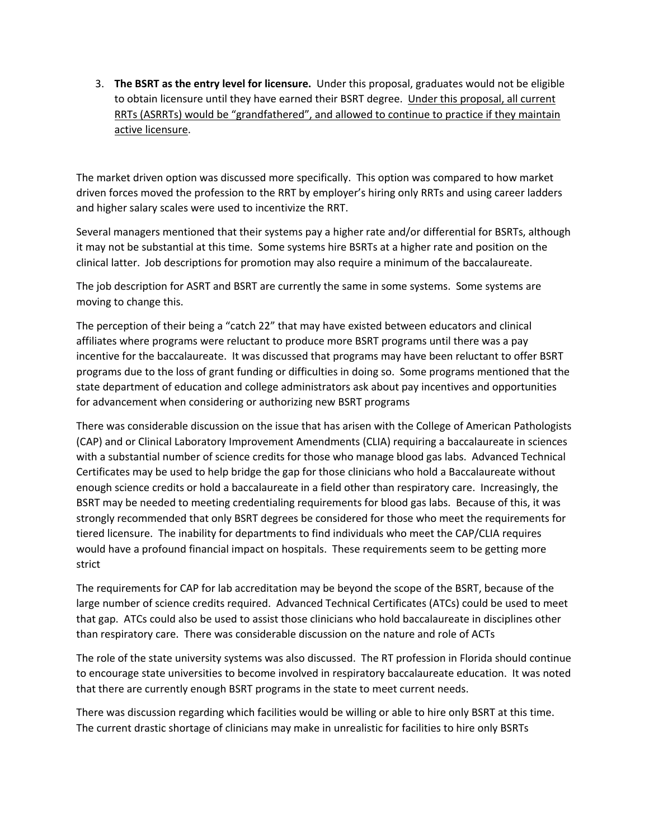3. **The BSRT as the entry level for licensure.** Under this proposal, graduates would not be eligible to obtain licensure until they have earned their BSRT degree. Under this proposal, all current RRTs (ASRRTs) would be "grandfathered", and allowed to continue to practice if they maintain active licensure.

The market driven option was discussed more specifically. This option was compared to how market driven forces moved the profession to the RRT by employer's hiring only RRTs and using career ladders and higher salary scales were used to incentivize the RRT.

Several managers mentioned that their systems pay a higher rate and/or differential for BSRTs, although it may not be substantial at this time. Some systems hire BSRTs at a higher rate and position on the clinical latter. Job descriptions for promotion may also require a minimum of the baccalaureate.

The job description for ASRT and BSRT are currently the same in some systems. Some systems are moving to change this.

The perception of their being a "catch 22" that may have existed between educators and clinical affiliates where programs were reluctant to produce more BSRT programs until there was a pay incentive for the baccalaureate. It was discussed that programs may have been reluctant to offer BSRT programs due to the loss of grant funding or difficulties in doing so. Some programs mentioned that the state department of education and college administrators ask about pay incentives and opportunities for advancement when considering or authorizing new BSRT programs

There was considerable discussion on the issue that has arisen with the College of American Pathologists (CAP) and or Clinical Laboratory Improvement Amendments (CLIA) requiring a baccalaureate in sciences with a substantial number of science credits for those who manage blood gas labs. Advanced Technical Certificates may be used to help bridge the gap for those clinicians who hold a Baccalaureate without enough science credits or hold a baccalaureate in a field other than respiratory care. Increasingly, the BSRT may be needed to meeting credentialing requirements for blood gas labs. Because of this, it was strongly recommended that only BSRT degrees be considered for those who meet the requirements for tiered licensure. The inability for departments to find individuals who meet the CAP/CLIA requires would have a profound financial impact on hospitals. These requirements seem to be getting more strict

The requirements for CAP for lab accreditation may be beyond the scope of the BSRT, because of the large number of science credits required. Advanced Technical Certificates (ATCs) could be used to meet that gap. ATCs could also be used to assist those clinicians who hold baccalaureate in disciplines other than respiratory care. There was considerable discussion on the nature and role of ACTs

The role of the state university systems was also discussed. The RT profession in Florida should continue to encourage state universities to become involved in respiratory baccalaureate education. It was noted that there are currently enough BSRT programs in the state to meet current needs.

There was discussion regarding which facilities would be willing or able to hire only BSRT at this time. The current drastic shortage of clinicians may make in unrealistic for facilities to hire only BSRTs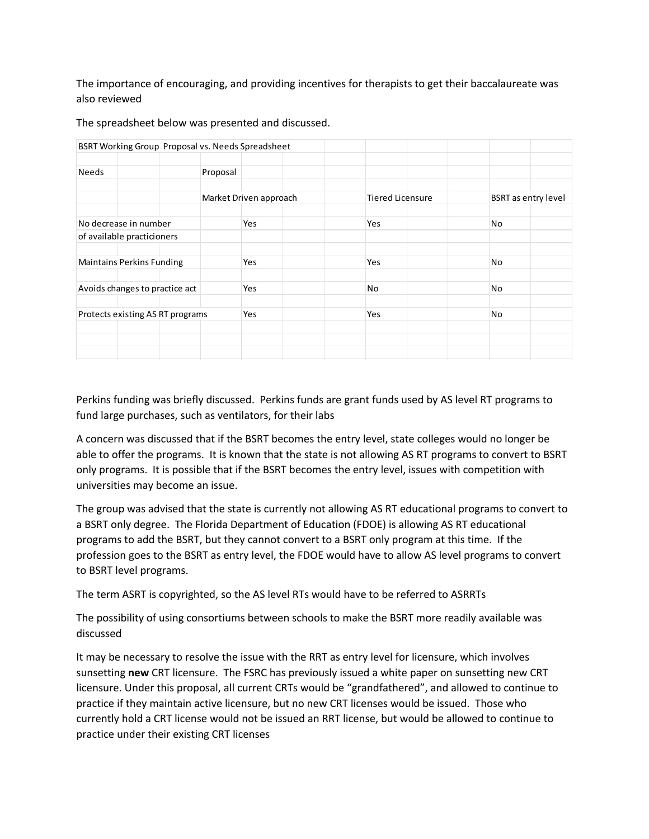The importance of encouraging, and providing incentives for therapists to get their baccalaureate was also reviewed

| BSRT Working Group Proposal vs. Needs Spreadsheet |  |  |          |                        |  |    |                         |    |                            |  |
|---------------------------------------------------|--|--|----------|------------------------|--|----|-------------------------|----|----------------------------|--|
|                                                   |  |  |          |                        |  |    |                         |    |                            |  |
| Needs                                             |  |  | Proposal |                        |  |    |                         |    |                            |  |
|                                                   |  |  |          |                        |  |    |                         |    |                            |  |
|                                                   |  |  |          | Market Driven approach |  |    | <b>Tiered Licensure</b> |    | <b>BSRT</b> as entry level |  |
|                                                   |  |  |          |                        |  |    |                         |    |                            |  |
| No decrease in number                             |  |  |          | Yes                    |  |    | Yes                     |    | No                         |  |
| of available practicioners                        |  |  |          |                        |  |    |                         |    |                            |  |
|                                                   |  |  |          |                        |  |    |                         |    |                            |  |
| <b>Maintains Perkins Funding</b>                  |  |  |          | <b>Yes</b>             |  |    | Yes                     |    | No                         |  |
|                                                   |  |  |          |                        |  |    |                         |    |                            |  |
| Avoids changes to practice act                    |  |  | Yes      |                        |  | No |                         | No |                            |  |
|                                                   |  |  |          |                        |  |    |                         |    |                            |  |
| Protects existing AS RT programs                  |  |  |          | Yes                    |  |    | Yes                     |    | No                         |  |
|                                                   |  |  |          |                        |  |    |                         |    |                            |  |
|                                                   |  |  |          |                        |  |    |                         |    |                            |  |
|                                                   |  |  |          |                        |  |    |                         |    |                            |  |

The spreadsheet below was presented and discussed.

Perkins funding was briefly discussed. Perkins funds are grant funds used by AS level RT programs to fund large purchases, such as ventilators, for their labs

A concern was discussed that if the BSRT becomes the entry level, state colleges would no longer be able to offer the programs. It is known that the state is not allowing AS RT programs to convert to BSRT only programs. It is possible that if the BSRT becomes the entry level, issues with competition with universities may become an issue.

The group was advised that the state is currently not allowing AS RT educational programs to convert to a BSRT only degree. The Florida Department of Education (FDOE) is allowing AS RT educational programs to add the BSRT, but they cannot convert to a BSRT only program at this time. If the profession goes to the BSRT as entry level, the FDOE would have to allow AS level programs to convert to BSRT level programs.

The term ASRT is copyrighted, so the AS level RTs would have to be referred to ASRRTs

The possibility of using consortiums between schools to make the BSRT more readily available was discussed

It may be necessary to resolve the issue with the RRT as entry level for licensure, which involves sunsetting **new** CRT licensure. The FSRC has previously issued a white paper on sunsetting new CRT licensure. Under this proposal, all current CRTs would be "grandfathered", and allowed to continue to practice if they maintain active licensure, but no new CRT licenses would be issued. Those who currently hold a CRT license would not be issued an RRT license, but would be allowed to continue to practice under their existing CRT licenses